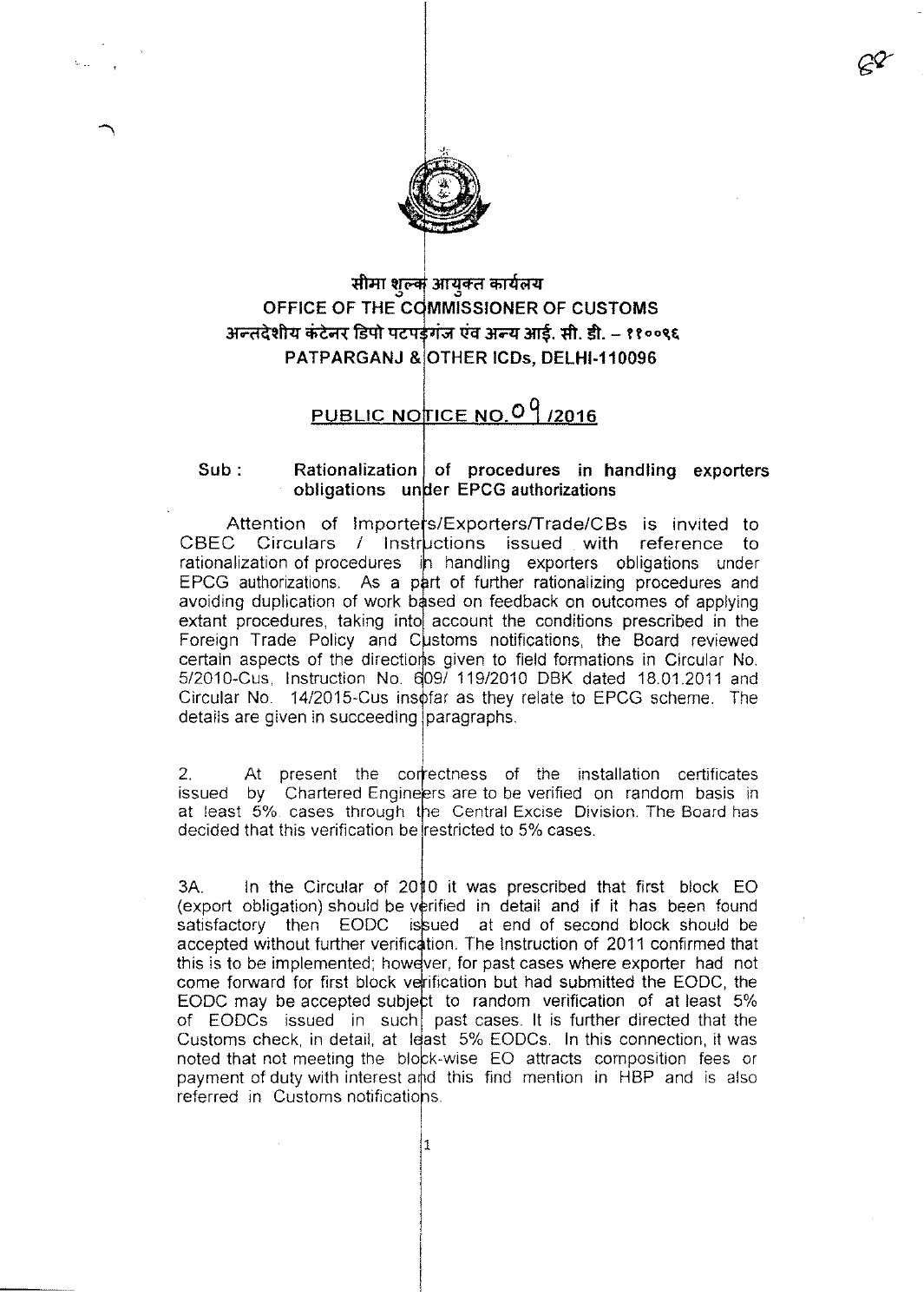

## सीमा शुल्क आयुक्त कार्यलय **OFFICE OF THE C** <u>अन्तदेशीय कंटेनर डिपो पटपर्डगंज एवं अन्य आई. सी. डी. – ११००९६</u> PATPARGANJ & OTHER ICDs, DELHI-110096

## PUBLIC NOTICE NO.  $0<sup>9</sup>$  /2016

## **Rationalization of procedures in handling exporters** *<u>b***obligations under EPCG authorizations**</u> **Sub:**

Attention of Importers/Exporters/Trade/CBs is invited to CBEC Circulars / Instructions issued with reference to rationalization of procedures in handling exporters obligations under EPCG authorizations. As a part of further rationalizing procedures and avoiding duplication of work based on feedback on outcomes of applying extant procedures, taking into account the conditions prescribed in the Foreign Trade Policy and Customs notifications, the Board reviewed certain aspects of the directions given to field formations in Circular No. 5/2010-Cus, Instruction No. 609/ 119/2010 DBK dated 18.01.2011 and Circular No. 14/2015-Cus insofar as they relate to EPCG scheme. The details are given in succeeding paragraphs.

2. At present the correctness of the installation certificate issued by Chartered Engi at least 5% cases througl decided that this verification be|restricted to 5% cases rs are to be verified on random basis in e Central Excise Division. The Board has

 $3A.$  In the Circular of 2010 it was prescribed that first block EO (export obligation) should be verified in detail and if it has been found satisfactory then EODC issued at end of second block should be accepted without further verification. The Instruction of 2011 confirmed that this is to be implemented; however, for past cases where exporter had not come forward for first block verification but had submitted the EODC, the EODC may be accepted subject to random verification of at least  $5\%$ of EODCs issued in such past cases. It is further directed that the Customs check, in detail, at least 5% EODCs. In this connection, it was noted that not meeting the block-wise EO attracts composition fees or payment of duty with interest and this find mention in HBP and is also referred in Customs notificatio

1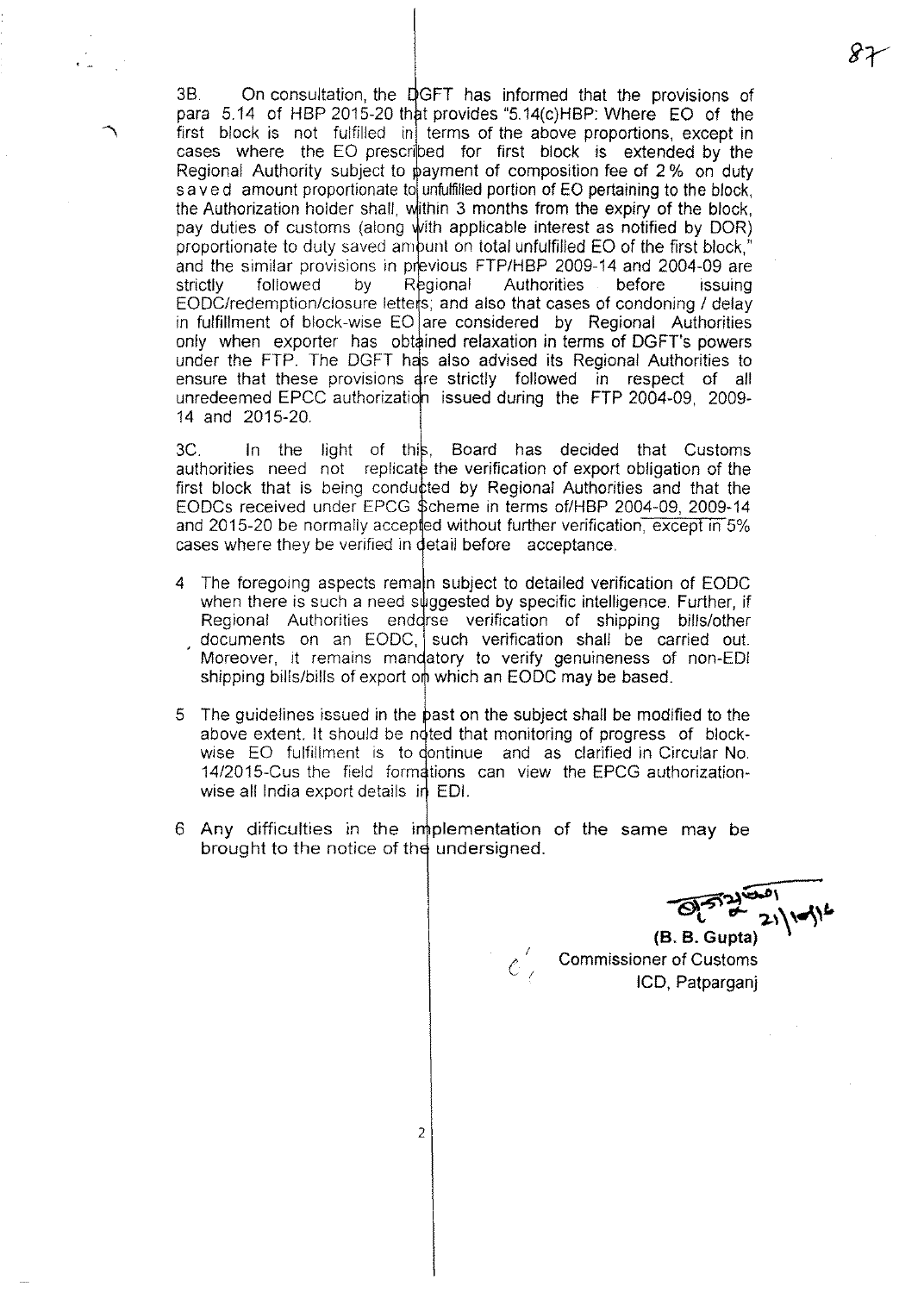3B. On consultation, the GFT has informed that the provisrons of para  $5.14$  of HBP 2015-20 that provides "5.14(c)HBP: Where  $EO$  of the first block is not fulfilled in terms of the above proportions, except in cases where the EO prescribed for first block is extended by the Regional Authority subject to payment of composition fee of 2% on duty s a v e d amount proportionate to unfulfilled portion of EO pertaining to the block, the Authorization holder shall, within 3 months from the expiry of the block, pay duties of customs (along with applicable interest as notified by DOR) proportionate to duly saved ambunt on total unfulfilled EO of the first block," and the similar provisions in previous FTP/HBP 2009-14 and 2004-09 are strictly followed by Regional Authorities before issuing EODC/redemption/closure letters; and also that cases of condoning / delay in fulfillment of block-wise  $EO$  are considered by Regional Authorities only when exporter has obtained relaxation in terms of DGFT's powers under the FTP. The DGFT has also advised its Regional Authorities to ensure that these provisions are strictly followed in respect of all unredeemed EPCC authorization issued during the FTP 2004-09, 2009-14 and 2015-20.

· ..

3C. In the light of this, Board has decided that Customs authorities need not replicate the verification of export obligation of the first block that is being conducted by Regional Authorities and that the EODCs received under EPCG \$cheme in terms of/HBP 2004-09, 2009-14 and 2015-20 be normally accepted without further verification, except in 5% cases where they be verified in detail before acceptance.

- The foregoing aspects remain subject to detailed verification of EODC when there is such a need suggested by specific intelligence. Further, if Regional Authorities enddrse verification of shipping bills/other documents on an EODC, such verification shall be carried out. Moreover, it remains mandatory to verify genuineness of non-EDI shipping bills/bills of export on which an EODC may be based.
- 5 The guidelines issued in the past on the subject shall be modified to the above extent. It should be noted that monitoring of progress of blockwise EO fulfillment is to dontinue and as clarified in Circular No. 14/2015-Cus the field formations can view the EPCG authorizationwise all India export details  $\mathbf{H}$  EDI.
- 6 Any difficulties in the implementation of the same may be brought to the notice of the undersigned.

*I*  ${\cal C}$  (  $\ll$ 

~  $P^{\{5,2\}}$ 

**(B. B. Gupta)** Commissioner of Customs lCD, Patparganj